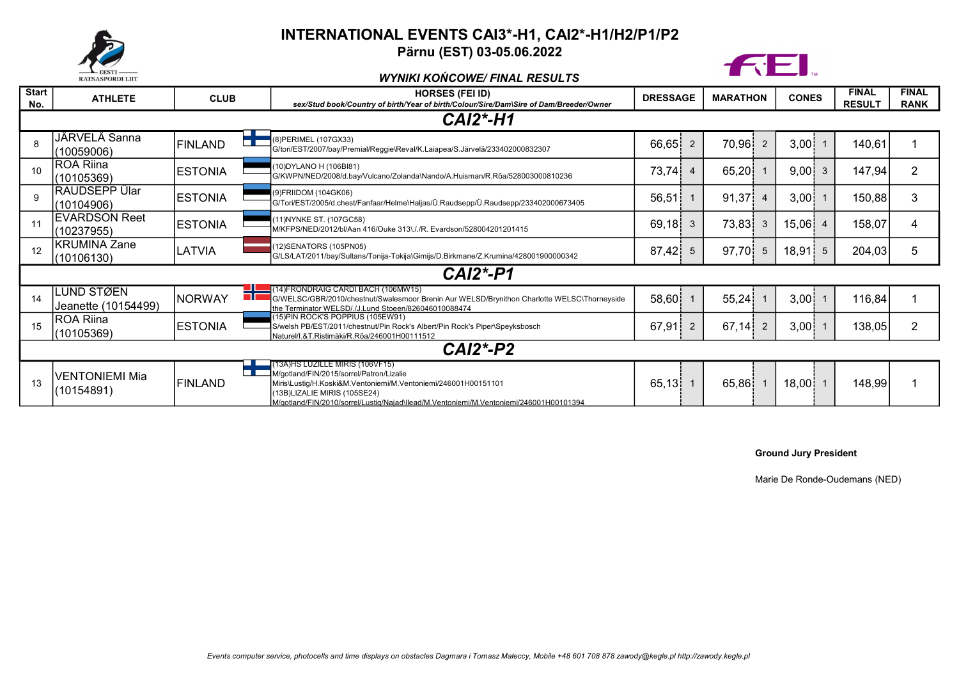

## INTERNATIONAL EVENTS CAI3\*-H1, CAI2\*-H1/H2/P1/P2

Pärnu (EST) 03-05.06.2022



WYNIKI KOŃCOWE/ FINAL RESULTS

| <b>Start</b><br>No. | <b>ATHLETE</b>                     | <b>CLUB</b>    | <b>HORSES (FEI ID)</b><br>sex/Stud book/Country of birth/Year of birth/Colour/Sire/Dam\Sire of Dam/Breeder/Owner                                                                                                                                                        | <b>DRESSAGE</b> |                | <b>MARATHON</b> |                | <b>CONES</b> |    | <b>FINAL</b><br><b>RESULT</b> | <b>FINAL</b><br><b>RANK</b> |
|---------------------|------------------------------------|----------------|-------------------------------------------------------------------------------------------------------------------------------------------------------------------------------------------------------------------------------------------------------------------------|-----------------|----------------|-----------------|----------------|--------------|----|-------------------------------|-----------------------------|
| <b>CAI2*-H1</b>     |                                    |                |                                                                                                                                                                                                                                                                         |                 |                |                 |                |              |    |                               |                             |
| 8                   | JÄRVELÄ Sanna<br>(10059006)        | <b>FINLAND</b> | (8) PERIMEL (107 GX 33)<br>G/tori/EST/2007/bay/Premial/Reggie\Reval/K.Laiapea/S.Järvelä/233402000832307                                                                                                                                                                 | 66,65           | 2              | 70,96           | $\overline{2}$ | 3,00         |    | 140,61                        |                             |
| 10                  | <b>ROA Riina</b><br>(10105369)     | <b>ESTONIA</b> | (10) DYLANO H (106 BI81)<br>G/KWPN/NED/2008/d.bay/Vulcano/Zolanda\Nando/A.Huisman/R.Roa/528003000810236                                                                                                                                                                 | 73,74           | $\overline{4}$ | 65,20           |                | 9,00         |    | 147,94                        | 2                           |
| 9                   | RAUDSEPP Ülar<br>(10104906)        | <b>ESTONIA</b> | (9) FRIIDOM (104 GK06)<br>G/Tori/EST/2005/d.chest/Fanfaar/Helme\Haljas/Ü.Raudsepp/Ü.Raudsepp/233402000673405                                                                                                                                                            | 56,51           |                | 91,37           | $\overline{4}$ | 3,00         |    | 150,88                        | 3                           |
| 11                  | <b>EVARDSON Reet</b><br>(10237955) | <b>ESTONIA</b> | (11) NYNKE ST. (107GC58)<br>M/KFPS/NED/2012/bl/Aan 416/Ouke 313\././R. Evardson/528004201201415                                                                                                                                                                         | 69,18           | 3              | 73,83           | 3              | 15,06        |    | 158,07                        | 4                           |
| 12                  | <b>KRUMINA Zane</b><br>(10106130)  | LATVIA         | (12) SENATORS (105PN05)<br>G/LS/LAT/2011/bay/Sultans/Tonija-Tokija\Gimijs/D.Birkmane/Z.Krumina/428001900000342                                                                                                                                                          | 87,42           | 5              | 97,70           | -5             | 18,91        | -5 | 204,03                        | 5                           |
| $CAI2*-P1$          |                                    |                |                                                                                                                                                                                                                                                                         |                 |                |                 |                |              |    |                               |                             |
| 14                  | LUND STØEN<br>Jeanette (10154499)  | <b>NORWAY</b>  | (14)FRONDRAIG CARDI BACH (106MW15)<br>G/WELSC/GBR/2010/chestnut/Swalesmoor Brenin Aur WELSD/Brynithon Charlotte WELSC/Thorneyside<br>the Terminator WELSD/./J.Lund Stoeen/826046010088474                                                                               | 58,60           |                | 55,24           |                | 3,00         |    | 116,84                        |                             |
| 15                  | ROA Riina<br>(10105369)            | <b>ESTONIA</b> | (15) PIN ROCK'S POPPIUS (105EW91)<br>S/welsh PB/EST/2011/chestnut/Pin Rock's Albert/Pin Rock's Piper\Speyksbosch<br>Naturel/I.&T.Ristimäki/R.Rõa/246001H00111512                                                                                                        | 67,91           | $\overline{2}$ | 67,14           | $\overline{2}$ | 3,00         |    | 138,05                        | 2                           |
| $CAI2*-P2$          |                                    |                |                                                                                                                                                                                                                                                                         |                 |                |                 |                |              |    |                               |                             |
| 13                  | VENTONIEMI Mia<br>(10154891)       | <b>FINLAND</b> | (13A)HS LUZILLE MIRIS (106VF15)<br>M/gotland/FIN/2015/sorrel/Patron/Lizalie<br>Miris\Lustiq/H.Koski&M.Ventoniemi/M.Ventoniemi/246001H00151101<br>(13B)LIZALIE MIRIS (105SE24)<br>M/gotland/FIN/2010/sorrel/Lustig/Naiad\llead/M.Ventoniemi/M.Ventoniemi/246001H00101394 | 65,13           |                | 65,86           |                | 18,00!       |    | 148,99                        |                             |

## Ground Jury President

Marie De Ronde-Oudemans (NED)